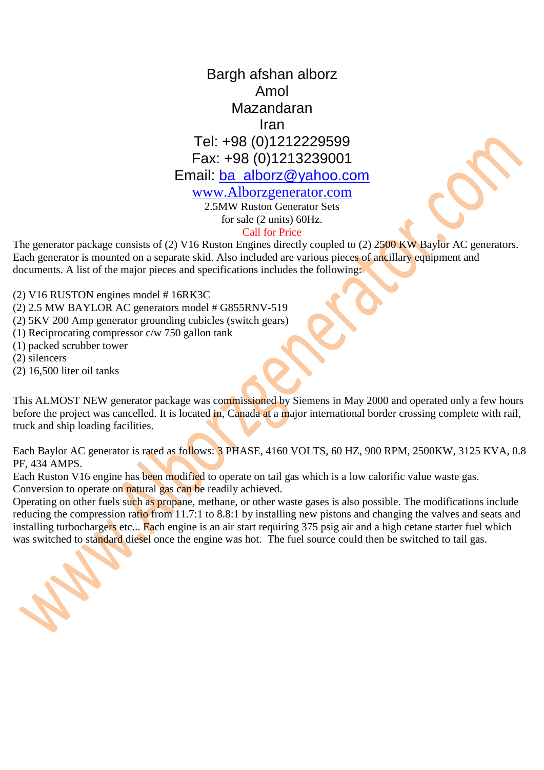## Bargh afshan alborz Amol Mazandaran Iran Tel: +98 (0)1212229599 Fax: +98 (0)1213239001 Email: [ba\\_alborz@yahoo.com](mailto:ba_alborz@yahoo.com) [www.Alborzgenerator.com](http://www.alborzgenerator.com/) 2.5MW Ruston Generator Sets

for sale (2 units) 60Hz. Call for Price

The generator package consists of (2) V16 Ruston Engines directly coupled to (2) 2500 KW Baylor AC generators. Each generator is mounted on a separate skid. Also included are various pieces of ancillary equipment and documents. A list of the major pieces and specifications includes the following:

(2) V16 RUSTON engines model # 16RK3C

- (2) 2.5 MW BAYLOR AC generators model # G855RNV-519
- (2) 5KV 200 Amp generator grounding cubicles (switch gears)
- (1) Reciprocating compressor c/w 750 gallon tank
- (1) packed scrubber tower
- (2) silencers
- (2) 16,500 liter oil tanks

This ALMOST NEW generator package was commissioned by Siemens in May 2000 and operated only a few hours before the project was cancelled. It is located in, Canada at a major international border crossing complete with rail, truck and ship loading facilities.

Each Baylor AC generator is rated as follows: 3 PHASE, 4160 VOLTS, 60 HZ, 900 RPM, 2500KW, 3125 KVA, 0.8 PF, 434 AMPS.

Each Ruston V16 engine has been modified to operate on tail gas which is a low calorific value waste gas. Conversion to operate on natural gas can be readily achieved.

Operating on other fuels such as propane, methane, or other waste gases is also possible. The modifications include reducing the compression ratio from 11.7:1 to 8.8:1 by installing new pistons and changing the valves and seats and installing turbochargers etc... Each engine is an air start requiring 375 psig air and a high cetane starter fuel which was switched to standard diesel once the engine was hot. The fuel source could then be switched to tail gas.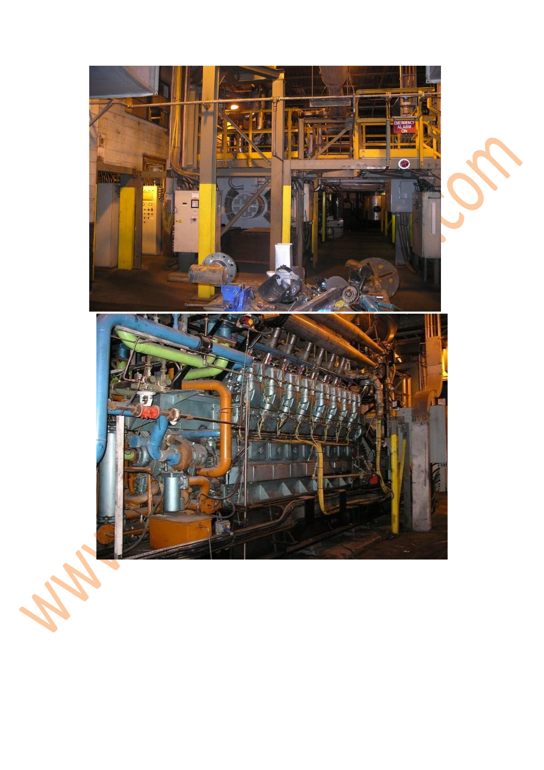